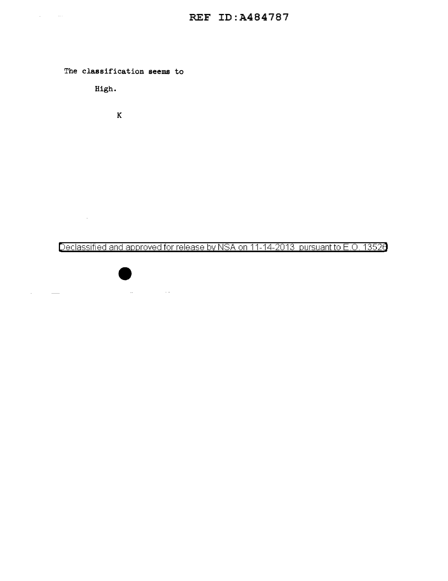

 $\mathcal{L}_{\text{max}}$  and  $\mathcal{L}_{\text{max}}$  .

 $\Delta \phi = 0.000$  and

 $\overline{\phantom{a}}$